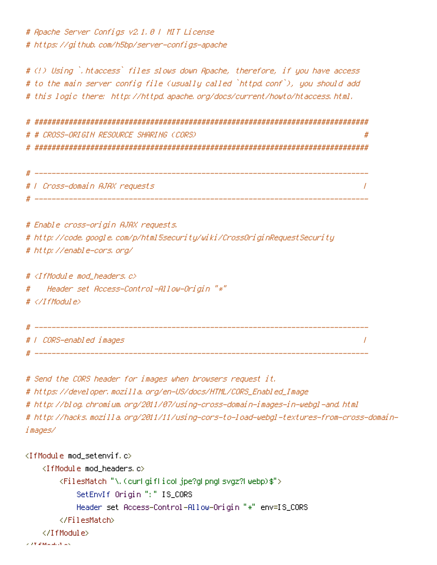# Apache Server Configs v2.1.0 | MIT License # https://github.com/h5bp/server-configs-apache

# (!) Using `.htaccess` files slows down Apache, therefore, if you have access # to the main server config file (usually called `httpd.conf`), you should add # this logic there: http://httpd.apache.org/docs/current/howto/htaccess.html.

# ############################################################################## # # CROSS-ORIGIN RESOURCE SHARING (CORS) # # ##############################################################################

| # |                                |  |
|---|--------------------------------|--|
|   | #   Cross-domain AJAX requests |  |
| # |                                |  |

# Enable cross-origin AJAX requests. # http://code.google.com/p/html5security/wiki/CrossOriginRequestSecurity # http://enable-cors.org/

#  $\langle$ IfModule mod headers, c $\rangle$ 

# Header set Access-Control-Allow-Origin "\*"

```
# </IfModule>
```
# ------------------------------------------------------------------------------ # | CORS-enabled images |

# ------------------------------------------------------------------------------

# Send the CORS header for images when browsers request it.

# https://developer.mozilla.org/en-US/docs/HTML/CORS\_Enabled\_Image

# http://blog.chromium.org/2011/07/using-cross-domain-images-in-webgl-and.html

# http://hacks.mozilla.org/2011/11/using-cors-to-load-webgl-textures-from-cross-domainimages/

```
<IfModule mod_setenvif.c>
    <IfModule mod_headers.c>
        <FilesMatch "\.(cur|gif|ico|jpe?g|png|svgz?|webp)$">
            SetEnvIf Origin ":" IS_CORS
            Header set Access-Control-Allow-Origin "*" env=IS_CORS
        </FilesMatch>
    </IfModule>
```
 $\lambda$  of the Module of Land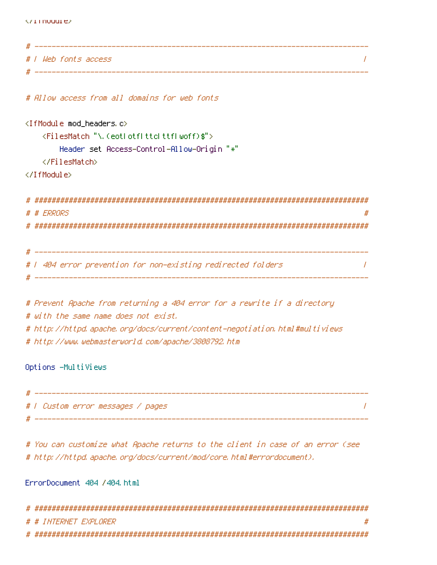| * |                      |
|---|----------------------|
|   | #   Web fonts access |
|   |                      |

# Allow access from all domains for web fonts

```
<IfModule mod_headers.c>
   <FilesMatch "\.(eot|otf|ttc|ttf|woff)$">
      Header set Access-Control-Allow-Origin "*"
   </FilesMatch>
</IfModule>
# ##############################################################################
# # ERRORS #
```
# ##############################################################################

```
# ------------------------------------------------------------------------------
# | 404 error prevention for non-existing redirected folders |
 # ------------------------------------------------------------------------------
```

```
# Prevent Apache from returning a 404 error for a rewrite if a directory
# with the same name does not exist.
# http://httpd.apache.org/docs/current/content-negotiation.html#multiviews
# http://www.webmasterworld.com/apache/3808792.htm
```
Options -MultiViews

| # |                                   |  |
|---|-----------------------------------|--|
|   | #   Custom error messages / pages |  |
|   |                                   |  |

# You can customize what Apache returns to the client in case of an error (see # http://httpd.apache.org/docs/current/mod/core.html#errordocument).

## ErrorDocument 404 /404.html

| # # INTERNET EXPLORER |
|-----------------------|
|                       |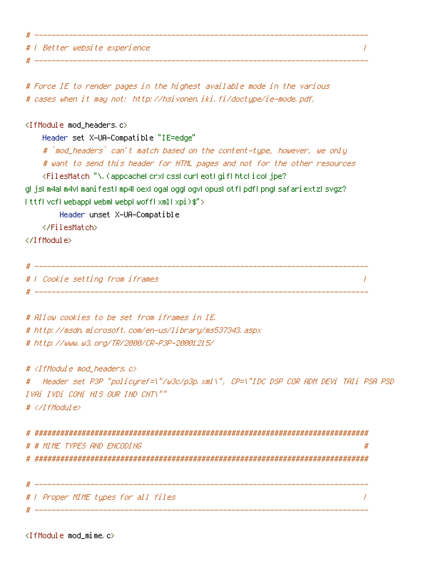# | Better website experience |

# Force IE to render pages in the highest available mode in the various # cases when it may not: http://hsivonen.iki.fi/doctype/ie-mode.pdf.

# ------------------------------------------------------------------------------

<IfModule mod\_headers.c>

Header set X-UA-Compatible "IE=edge"

# `mod\_headers` can't match based on the content-type, however, we only # want to send this header for HTML pages and not for the other resources

# ------------------------------------------------------------------------------

<FilesMatch "\.(appcache|crx|css|cur|eot|gif|htc|ico|jpe?

g| js| m4a| m4v| manifest| mp4| oex| oga| ogg| ogv| opus| otf| pdf| png| safariextz| svgz? |ttf|vcf|webapp|webm|webp|woff|xml|xpi)\$">

Header unset X-UA-Compatible

</FilesMatch>

</IfModule>

# ------------------------------------------------------------------------------ # | Cookie setting from iframes | # ------------------------------------------------------------------------------

# Allow cookies to be set from iframes in IE. # http://msdn.microsoft.com/en-us/library/ms537343.aspx # http://www.w3.org/TR/2000/CR-P3P-20001215/

# <IfModule mod\_headers.c>

# Header set P3P "policyref=\"/w3c/p3p.xml\", CP=\"IDC DSP COR ADM DEVi TAIi PSA PSD IVAi IVDi CONi HIS OUR IND CNT\"" # </IfModule>

| # # MIME TYPES AND ENCODING |
|-----------------------------|
|                             |
|                             |
|                             |

# | Proper MIME types for all files | # ------------------------------------------------------------------------------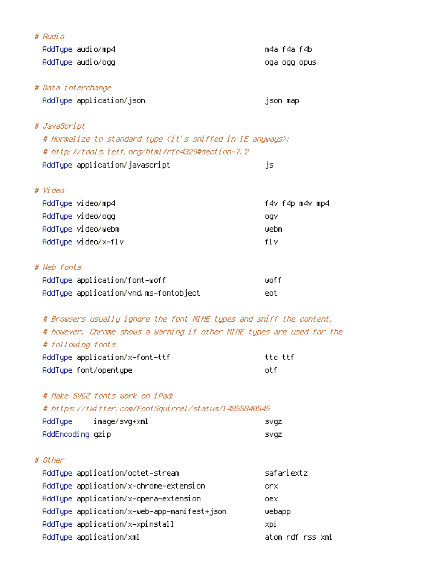| # Audio                                                                |                  |
|------------------------------------------------------------------------|------------------|
| AddType audio/mp4                                                      | m4a f4a f4b      |
| AddType audio/ogg                                                      | oga ogg opus     |
| # Data interchange                                                     |                  |
| AddType application/json                                               | json map         |
| # JavaScript                                                           |                  |
| # Normalize to standard type (it's sniffed in IE anyways):             |                  |
| # http://tools.ietf.org/html/rfc4329#section-7.2                       |                  |
| AddType application/javascript                                         | js               |
| # Video                                                                |                  |
| AddType video/mp4                                                      | f4v f4p m4v mp4  |
| AddType video/ogg                                                      | ogv              |
| AddType video/webm                                                     | webm             |
| AddType video/x-flv                                                    | fl v             |
| # Web fonts                                                            |                  |
| AddType application/font-woff                                          | wof f            |
| AddType application/vnd.ms-fontobject                                  | eot.             |
| # Browsers usually ignore the font MIME types and sniff the content,   |                  |
| # however, Chrome shows a warning if other MIME types are used for the |                  |
| # following fonts.                                                     |                  |
| AddType application/x-font-ttf                                         | tte ttf          |
| AddType font/opentype                                                  | otf              |
| # Make SVGZ fonts work on iPad:                                        |                  |
| # https://twitter.com/FontSquirrel/status/14855840545                  |                  |
| AddType<br>image/svg+xml                                               | svgz             |
| AddEncoding gzip                                                       | <b>SVGZ</b>      |
| # Other                                                                |                  |
| AddType application/octet-stream                                       | safariextz       |
| AddType application/x-chrome-extension                                 | crx.             |
| AddType application/x-opera-extension                                  | oex.             |
| AddType application/x-web-app-manifest+json                            | webapp           |
| AddType application/x-xpinstall                                        | xpi              |
| AddType application/xml                                                | atom rdf rss xml |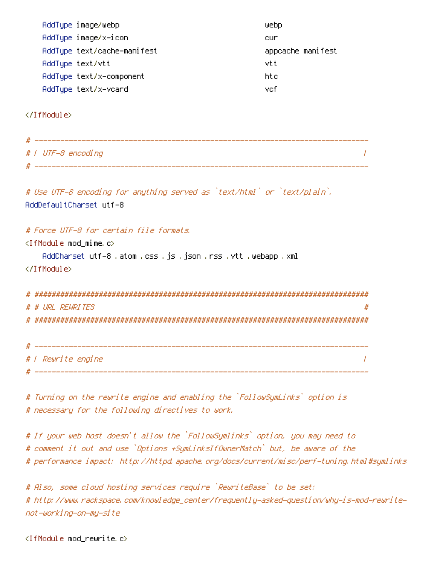| AddType image/webp<br>AddType image/x-icon<br>AddType text/cache-manifest<br>AddType text/vtt<br>AddType text/x-component<br>AddType text/x-vcard      | webp<br>cur<br>appcache manifest<br>vtt<br>htc<br>vefi |
|--------------------------------------------------------------------------------------------------------------------------------------------------------|--------------------------------------------------------|
|                                                                                                                                                        |                                                        |
| #   UTF-8 encoding                                                                                                                                     |                                                        |
| # Use UTF-8 encoding for anything served as `text/html` or `text/plain`.<br>AddDefaultCharset utf-8                                                    |                                                        |
| # Force UTF-8 for certain file formats,<br>$\langle$ IfModule mod mime.c $\rangle$<br>AddCharset utf-8 .atom .css .js .json .rss .vtt .webapp .xml<br> |                                                        |
| # # URL REWRITES                                                                                                                                       |                                                        |
| # / Rewrite engine                                                                                                                                     | $\prime$                                               |

# Turning on the rewrite engine and enabling the `FollowSymLinks` option is # necessary for the following directives to work.

# If your web host doesn't allow the `FollowSymlinks` option, you may need to # comment it out and use `Options +SymLinksIfOwnerMatch` but, be aware of the # performance impact: http://httpd.apache.org/docs/current/misc/perf-tuning.html#symlinks

# Also, some cloud hosting services require `RewriteBase` to be set: # http://www.rackspace.com/knowledge\_center/frequently-asked-question/why-is-mod-rewritenot-working-on-my-site

<IfModule mod\_rewrite.c>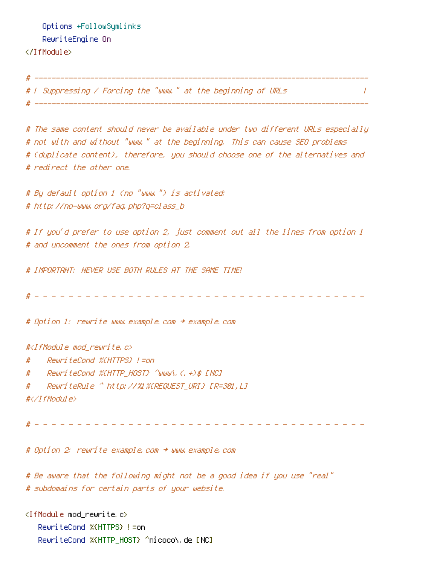Options +FollowSymlinks RewriteEngine On </IfModule>

# ----------------------------------

# | Suppressing / Forcing the "www." at the beginning of URLs | # ------------------------------------------------------------------------------

# The same content should never be available under two different URLs especially # not with and without "www." at the beginning. This can cause SEO problems # (duplicate content), therefore, you should choose one of the alternatives and # redirect the other one.

# By default option 1 (no "www.") is activated: # http://no-www.org/faq.php?q=class\_b

# If you'd prefer to use option 2, just comment out all the lines from option 1 # and uncomment the ones from option 2.

# IMPORTANT: NEVER USE BOTH RULES AT THE SAME TIME!

# - - - - - - - - - - - - - - - - - - - - - - - - - - - - - - - - - - - - - - -

# Option 1: rewrite www.example.com <sup>→</sup> example.com

#<IfModule mod\_rewrite.c>

- # RewriteCond %{HTTPS} !=on
- # RewriteCond %{HTTP\_HOST} ^www\.(.+)\$ [NC]
- # RewriteRule ^ http://%1%{REQUEST\_URI} [R=301,L]

```
#</IfModule>
```
# - - - - - - - - - - - - - - - - - - - - - - - - - - - - - - - - - - - - - - -

# Option 2: rewrite example.com <sup>→</sup> www.example.com

# Be aware that the following might not be <sup>a</sup> good idea if you use "real" # subdomains for certain parts of your website.

<IfModule mod\_rewrite.c> RewriteCond %{HTTPS} !=on RewriteCond %{HTTP\_HOST} ^nicoco\.de [NC]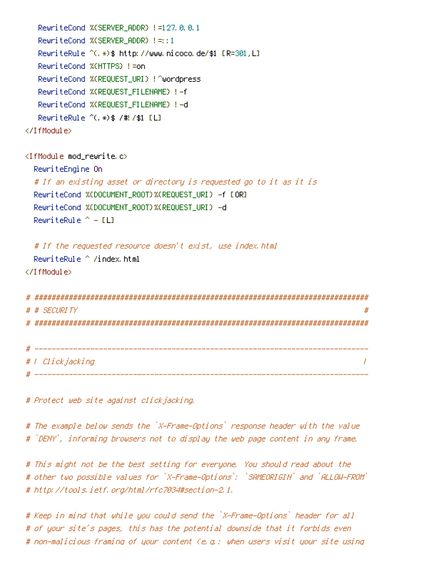```
RewriteCond %{SERVER_ADDR} !=127.0.0.1
   RewriteCond %(SERVER ADDR) !=::1
   RewriteRule ^(.*)$ http://www.nicoco.de/$1 [R=301,L]
   RewriteCond %{HTTPS} !=on
   RewriteCond %{REQUEST_URI} !^wordpress
   RewriteCond %{REQUEST_FILENAME} !-f
   RewriteCond %{REQUEST_FILENAME} !-d
   RewriteRule ^(.*)$ /#!/$1 [L]
</IfModule>
\triangleleftIfModule mod rewrite.c>RewriteEngine On
  # If an existing asset or directory is requested go to it as it is
  RewriteCond %{DOCUMENT_ROOT}%{REQUEST_URI} -f [OR]
  RewriteCond %{DOCUMENT_ROOT}%{REQUEST_URI} -d
  RewriteRule ^{\wedge} - [L]
  # If the requested resource doesn't exist, use index.html
  RewriteRule ^ /index.html
</IfModule>
# ##############################################################################
# # SECURITY
# ##############################################################################
```

| # |                  |  |
|---|------------------|--|
|   | #   Clickjacking |  |
| # |                  |  |

# Protect web site against clickjacking.

# The example below sends the `X-Frame-Options` response header with the value # `DENY`, informing browsers not to display the web page content in any frame.

# This might not be the best setting for everyone. You should read about the # other two possible values for `X-Frame-Options`: `SAMEORIGIN` and `ALLOW-FROM` # http://tools.ietf.org/html/rfc7034#section-2.1.

# Keep in mind that while you could send the `X-Frame-Options` header for all # of your site's pages, this has the potential downside that it forbids even # non-malicious framing of your content (e.g.: when users visit your site using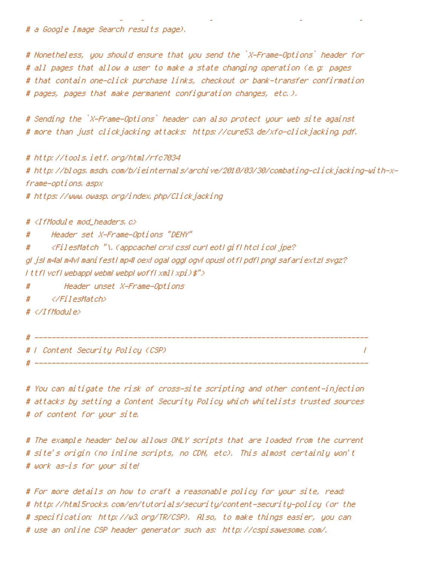# <sup>a</sup> Google Image Search results page).

# Nonetheless, you should ensure that you send the `X-Frame-Options` header for # all pages that allow <sup>a</sup> user to make <sup>a</sup> state changing operation (e.g: pages # that contain one-click purchase links, checkout or bank-transfer confirmation # pages, pages that make permanent configuration changes, etc.).

# non-malicious framing of your content (e.g.: when users visit your site using

# Sending the `X-Frame-Options` header can also protect your web site against # more than just clickjacking attacks: https://cure53.de/xfo-clickjacking.pdf.

# http://tools.ietf.org/html/rfc7034 # http://blogs.msdn.com/b/ieinternals/archive/2010/03/30/combating-clickjacking-with-xframe-options.aspx

# https://www.owasp.org/index.php/Clickjacking

# <IfModule mod\_headers.c>

# Header set X-Frame-Options "DENY"

# <FilesMatch "\.(appcache|crx|css|cur|eot|gif|htc|ico|jpe?

g| js| m4a| m4v| manifest| mp4| oex| oga| ogg| ogv| opus| otf| pdf| png| safariextz| svgz? |ttf|vcf|webapp|webm|webp|woff|xml|xpi)\$">

# Header unset X-Frame-Options

# </FilesMatch>

# </IfModule>

# ------------------------------------------------------------------------------ # | Content Security Policy (CSP) | # ------------------------------------------------------------------------------

# You can mitigate the risk of cross-site scripting and other content-injection # attacks by setting <sup>a</sup> Content Security Policy which whitelists trusted sources # of content for your site.

# The example header below allows ONLY scripts that are loaded from the current # site's origin (no inline scripts, no CDN, etc). This almost certainly won't # work as-is for your site!

# For more details on how to craft <sup>a</sup> reasonable policy for your site, read: # http://html5rocks.com/en/tutorials/security/content-security-policy (or the # specification: http://w3.org/TR/CSP). Also, to make things easier, you can # use an online CSP header generator such as: http://cspisawesome.com/.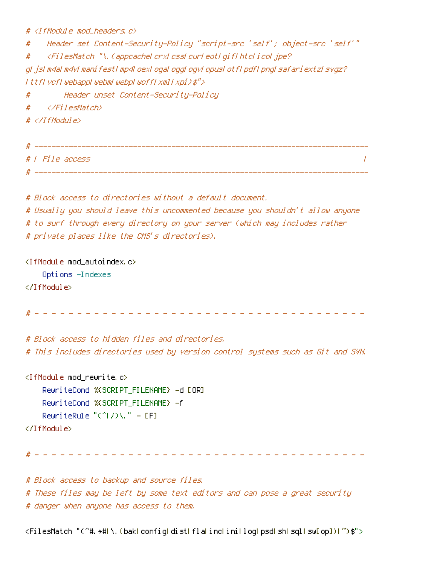# <IfModule mod\_headers.c>

# Header set Content-Security-Policy "script-src 'self'; object-src 'self'" # <FilesMatch "\.(appcache|crx|css|cur|eot|gif|htc|ico|jpe? g|js|m4a|m4v|manifest|mp4|oex|oga|ogg|ogv|opus|otf|pdf|png|safariextz|svgz? |ttf|vcf|webapp|webm|webp|woff|xml|xpi)\$"> # Header unset Content-Security-Policy # </FilesMatch> # </IfModule>

| # |                 |
|---|-----------------|
|   | #   File access |
| # |                 |

# Block access to directories without <sup>a</sup> default document. # Usually you should leave this uncommented because you shouldn't allow anyone # to surf through every directory on your server (which may includes rather # private places like the CMS's directories).

<IfModule mod\_autoindex.c> Options -Indexes </IfModule>

# - - - - - - - - - - - - - - - - - - - - - - - - - - - - - - - - - - - - - - -

# Block access to hidden files and directories. # This includes directories used by version control systems such as Git and SVN.

<IfModule mod\_rewrite.c> RewriteCond %{SCRIPT\_FILENAME} -d [OR] RewriteCond %{SCRIPT\_FILENAME} -f RewriteRule "(^|/)\." - [F] </IfModule>

# - - - - - - - - - - - - - - - - - - - - - - - - - - - - - - - - - - - - - - -

# Block access to backup and source files. # These files may be left by some text editors and can pose <sup>a</sup> great security # danger when anyone has access to them.

<FilesMatch "(^#.\*#|\.(bak|config|dist|fla|inc|ini|log|psd|sh|sql|sw[op])|~)\$">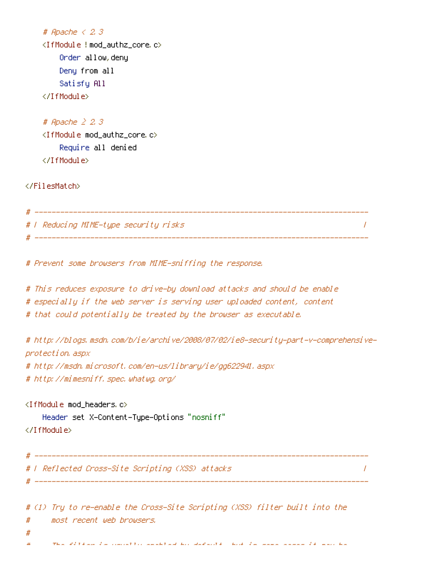```
# Apache < 2.3
<IfModule !mod_authz_core.c>
    Order allow,deny
    Deny from all
    Satisfy All
</IfModule>
```

```
# Apache ≥ 2.3
<IfModule mod_authz_core.c>
    Require all denied
</IfModule>
```
</FilesMatch>

| # |                                       |  |
|---|---------------------------------------|--|
|   | #   Reducing MIME-type security risks |  |
| # |                                       |  |

# Prevent some browsers from MIME-sniffing the response.

- # This reduces exposure to drive-by download attacks and should be enable
- # especially if the web server is serving user uploaded content, content
- # that could potentially be treated by the browser as executable.

```
# http://blogs.msdn.com/b/ie/archive/2008/07/02/ie8-security-part-v-comprehensive-
protection.aspx
```
# http://msdn.microsoft.com/en-us/library/ie/gg622941.aspx

# ------------------------------------------------------------------------------

# http://mimesniff.spec.whatwg.org/

```
<IfModule mod_headers.c>
    Header set X-Content-Type-Options "nosniff"
```
</IfModule>

```
# ------------------------------------------------------------------------------
# | Reflected Cross-Site Scripting (XSS) attacks |
```
# (1) Try to re-enable the Cross-Site Scripting (XSS) filter built into the # most recent web browsers.

- #
- # The filter is usually enabled by default, but in some cases it may be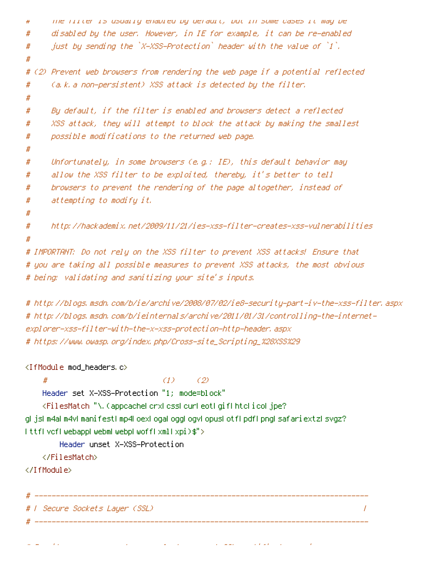```
# The filter is usually enabled by default, but in some cases it may be
# disabled by the user. However, in IE for example, it can be re-enabled
#  just by sending the `X-XSS-Protection` header with the value of `1`.
#
# (2) Prevent web browsers from rendering the web page if a potential reflected
# (a.k.a non-persistent) XSS attack is detected by the filter.
#
# By default, if the filter is enabled and browsers detect a reflected
# XSS attack, they will attempt to block the attack by making the smallest
# possible modifications to the returned web page.
#
# Unfortunately, in some browsers (e.g.: IE), this default behavior may
# allow the XSS filter to be exploited, thereby, it's better to tell
# browsers to prevent the rendering of the page altogether, instead of
# attempting to modify it.
#
# http://hackademix.net/2009/11/21/ies-xss-filter-creates-xss-vulnerabilities
#
# IMPORTANT: Do not rely on the XSS filter to prevent XSS attacks! Ensure that
# you are taking all possible measures to prevent XSS attacks, the most obvious
```

```
# being: validating and sanitizing your site's inputs.
```
# http://blogs.msdn.com/b/ie/archive/2008/07/02/ie8-security-part-iv-the-xss-filter.aspx # http://blogs.msdn.com/b/ieinternals/archive/2011/01/31/controlling-the-internetexplorer-xss-filter-with-the-x-xss-protection-http-header.aspx # https://www.owasp.org/index.php/Cross-site\_Scripting\_%28XSS%29

```
<IfModule mod_headers.c>
```

```
# (1) (2)
   Header set X-XSS-Protection "1; mode=block"
   <FilesMatch "\.(appcache|crx|css|cur|eot|gif|htc|ico|jpe?
g|js|m4a|m4v|manifest|mp4|oex|oga|ogg|ogv|opus|otf|pdf|png|safariextz|svgz?
|ttf|vcf|webapp|webm|webp|woff|xml|xpi)$">
      Header unset X-XSS-Protection
   </FilesMatch>
</IfModule>
# ------------------------------------------------------------------------------
# | Secure Sockets Layer (SSL) |
# ------------------------------------------------------------------------------
```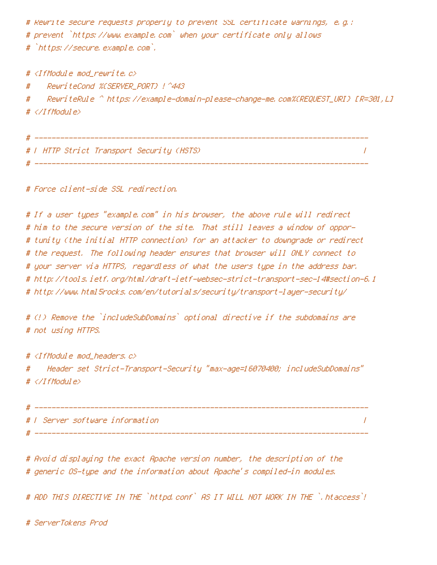# Rewrite secure requests properly to prevent SSL certificate warnings, e.g.: # prevent `https://www.example.com` when your certificate only allows # `https://secure.example.com`.

# <IfModule mod\_rewrite.c>

# RewriteCond %{SERVER\_PORT} !^443

# RewriteRule ^ https://example-domain-please-change-me.com%{REQUEST\_URI} [R=301,L] # </IfModule>

|  |  |  |  | #   HTTP Strict Transport Security (HSTS) |  |  |
|--|--|--|--|-------------------------------------------|--|--|

# ------------------------------------------------------------------------------

# Force client-side SSL redirection.

# If <sup>a</sup> user types "example.com" in his browser, the above rule will redirect # him to the secure version of the site. That still leaves <sup>a</sup> window of oppor- # tunity (the initial HTTP connection) for an attacker to downgrade or redirect # the request. The following header ensures that browser will ONLY connect to # your server via HTTPS, regardless of what the users type in the address bar. # http://tools.ietf.org/html/draft-ietf-websec-strict-transport-sec-14#section-6.1 # http://www.html5rocks.com/en/tutorials/security/transport-layer-security/

# (!) Remove the `includeSubDomains` optional directive if the subdomains are # not using HTTPS.

# <IfModule mod\_headers.c>

# Header set Strict-Transport-Security "max-age=16070400; includeSubDomains" # </IfModule>

# ------------------------------------------------------------------------------ # | Server software information | # ------------------------------------------------------------------------------

# Avoid displaying the exact Apache version number, the description of the # generic OS-type and the information about Apache's compiled-in modules.

# ADD THIS DIRECTIVE IN THE `httpd.conf` AS IT WILL NOT WORK IN THE `.htaccess`!

# ServerTokens Prod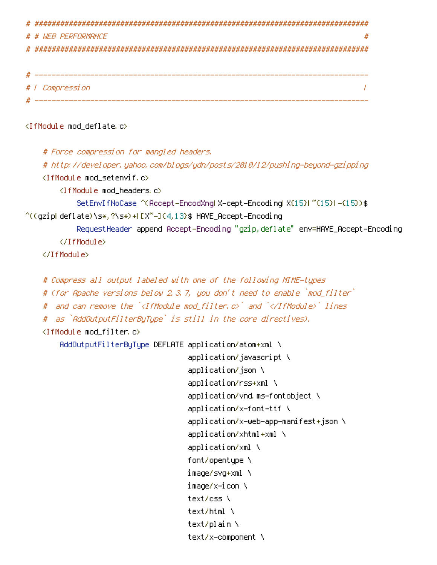```
# ##############################################################################
# # WEB PERFORMANCE #
# ##############################################################################
 # ------------------------------------------------------------------------------
# | Compression |
 # ------------------------------------------------------------------------------
<IfModule mod_deflate.c>
    # Force compression for mangled headers.
    # http://developer.yahoo.com/blogs/ydn/posts/2010/12/pushing-beyond-gzipping
    <IfModule mod_setenvif.c>
        <IfModule mod_headers.c>
            SetEnvIfNoCase ^(Accept-EncodXng|X-cept-Encoding|X{15}|~{15}|-{15})$
\hat{C}((gzipl deflate)\s*,?\s*)+[X^{\prime\prime}-]{4,13}$ HAVE_Accept-Encoding
            RequestHeader append Accept-Encoding "gzip,deflate" env=HAVE_Accept-Encoding
        </IfModule>
    </IfModule>
    # Compress all output labeled with one of the following MIME-types
    # (for Apache versions below 2.3.7, you don't need to enable `mod_filter`
    # and can remove the `<IfModule mod_filter.c>` and `</IfModule>` lines
    # as `AddOutputFilterByType` is still in the core directives).
    \langleIfModule mod filter.c\rangleAddOutputFilterByType DEFLATE application/atom+xml \
                                      application/javascript \
                                      application/json \
                                      application/rss+xml \
                                      application/vnd.ms-fontobject \
                                      application/x-font-ttf \
                                      application/x-web-app-manifest+json \
                                      application/xhtml+xml \
                                      application/xml \
                                      font/opentype \
                                      image/svg+xml \
                                      image/x-icon \
                                      text/css \
                                      text/html \
                                      text/plain \
                                      text/x-component \
```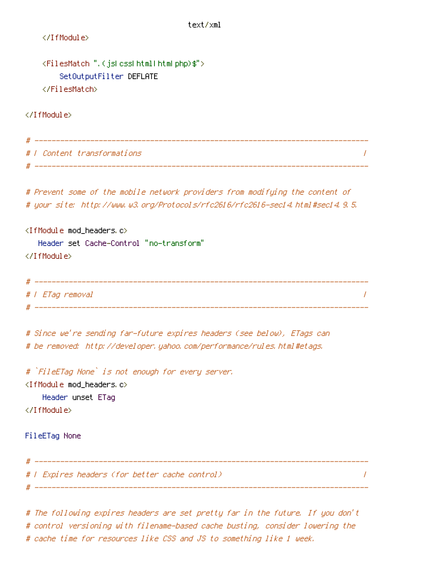```
text/xml
   </IfModule>
   <FilesMatch ".(js|css|html|htm|php)$">
       SetOutputFilter DEFLATE
   </FilesMatch>
</IfModule>
# ------------------------------------------------------------------------------
# | Content transformations |
# ------------------------------------------------------------------------------
# Prevent some of the mobile network providers from modifying the content of
# your site: http://www.w3.org/Protocols/rfc2616/rfc2616-sec14.html#sec14.9.5.
<IfModule mod_headers.c>
  Header set Cache-Control "no-transform"
</IfModule>
# ------------------------------------------------------------------------------
# | ETag removal |
# ------------------------------------------------------------------------------
# Since we're sending far-future expires headers (see below), ETags can
# be removed: http://developer.yahoo.com/performance/rules.html#etags.
# `FileETag None` is not enough for every server.
<IfModule mod_headers.c>
   Header unset ETag
</IfModule>
FileETag None
# ------------------------------------------------------------------------------
# | Expires headers (for better cache control) |
 # ------------------------------------------------------------------------------
```
# The following expires headers are set pretty far in the future. If you don't # control versioning with filename-based cache busting, consider lowering the # cache time for resources like CSS and JS to something like 1 week.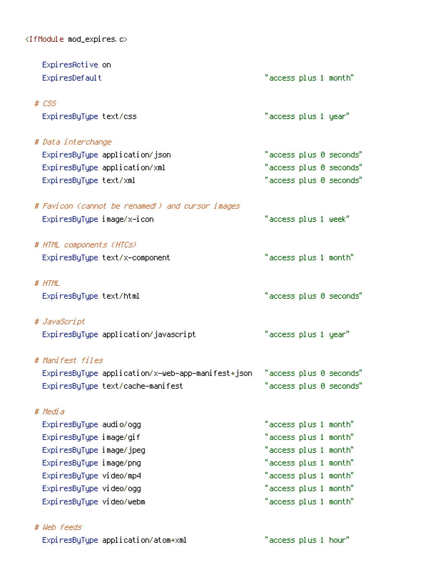$\langle$ IfModule mod\_expires.c>

| ExpiresActive on                                                             |                       |  |                         |
|------------------------------------------------------------------------------|-----------------------|--|-------------------------|
| ExpiresDefault                                                               | "access plus 1 month" |  |                         |
| $# \text{ } \text{CSS}$                                                      |                       |  |                         |
| ExpiresByType text/css                                                       | "access plus 1 year"  |  |                         |
| # Data interchange                                                           |                       |  |                         |
| ExpiresByType application/json                                               |                       |  | "access plus 0 seconds" |
| ExpiresByType application/xml                                                |                       |  | "access plus 0 seconds" |
| ExpiresByType text/xml                                                       |                       |  | "access plus 0 seconds" |
| # Favicon (cannot be renamed!) and cursor images                             |                       |  |                         |
| ExpiresByType image/x-icon                                                   | "access plus 1 week"  |  |                         |
| # HTML components (HTCs)                                                     |                       |  |                         |
| ExpiresByType text/x-component                                               | "access plus 1 month" |  |                         |
| # HTML                                                                       |                       |  |                         |
| ExpiresByType text/html                                                      |                       |  | "access plus 0 seconds" |
| # JavaScript                                                                 |                       |  |                         |
| ExpiresByType application/javascript                                         | "access plus 1 year"  |  |                         |
| # Manifest files                                                             |                       |  |                         |
| ExpiresByType application/x-web-app-manifest+json    "access plus 0 seconds" |                       |  |                         |
| ExpiresByType text/cache-manifest                                            |                       |  | "access plus 0 seconds" |
| # Media                                                                      |                       |  |                         |
| Expi resByType audio/ogg                                                     | "access plus 1 month" |  |                         |
| ExpiresByType image/gif                                                      | "access plus 1 month" |  |                         |
| ExpiresByType image/jpeg                                                     | "access plus 1 month" |  |                         |
| ExpiresByType image/png                                                      | "access plus 1 month" |  |                         |
| ExpiresByType video/mp4                                                      | "access plus 1 month" |  |                         |
| ExpiresByType video/ogg                                                      | "access plus 1 month" |  |                         |
| ExpiresByType video/webm                                                     | "access plus 1 month" |  |                         |
|                                                                              |                       |  |                         |

# Web feeds

ExpiresByType application/atom+xml "access plus 1 hour"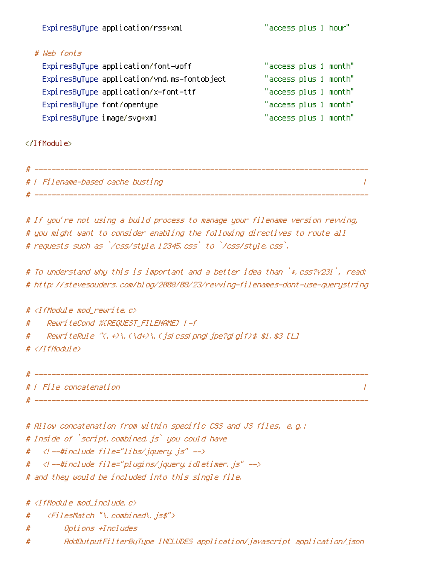|                             | ExpiresByType application/rss+xml           | "access plus 1 hour"  |  |
|-----------------------------|---------------------------------------------|-----------------------|--|
| # Web fonts                 |                                             |                       |  |
|                             | ExpiresByType application/font-woff         | "access plus 1 month" |  |
|                             | ExpiresByType application/vnd.ms-fontobject | "access plus 1 month" |  |
|                             | ExpiresByType application/x-font-ttf        | "access plus 1 month" |  |
| ExpiresByType font/opentype |                                             | "access plus 1 month" |  |
| ExpiresByType image/svg+xml |                                             | "access plus 1 month" |  |

</IfModule>

| #   Filename-based cache busting |  |
|----------------------------------|--|
|                                  |  |

# If you're not using <sup>a</sup> build process to manage your filename version revving, # you might want to consider enabling the following directives to route all # requests such as `/css/style.12345.css` to `/css/style.css`.

# To understand why this is important and <sup>a</sup> better idea than `\*.css?v231`, read: # http://stevesouders.com/blog/2008/08/23/revving-filenames-dont-use-querystring

#  $\triangleleft$  fModule mod rewrite.c> # RewriteCond %{REQUEST\_FILENAME} !-f # RewriteRule ^(.+)\.(\d+)\.(js|css|png|jpe?g|gif)\$ \$1.\$3 [L]

# </IfModule>

```
# ------------------------------------------------------------------------------
# | File concatenation |
```
# ------------------------------------------------------------------------------

```
# Allow concatenation from within specific CSS and JS files, e.g.:
# Inside of `script.combined.js` you could have
# \langle --#include file="libs/jquery.js" -->
# < \langle --#include file="plugins/jquery.idletimer.js" -->
# and they would be included into this single file.
```
# <IfModule mod\_include.c>

- # <FilesMatch "\.combined\.js\$">
- # Options +Includes
- # AddOutputFilterByType INCLUDES application/javascript application/json